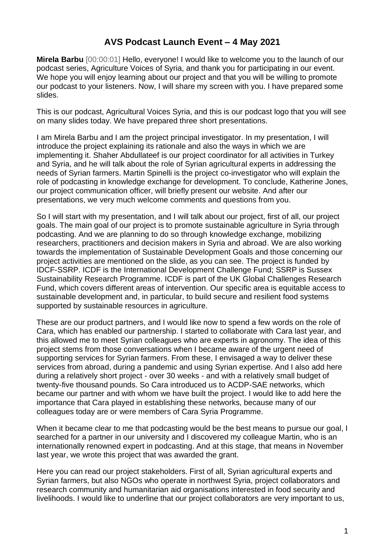## **AVS Podcast Launch Event – 4 May 2021**

**Mirela Barbu** [00:00:01] Hello, everyone! I would like to welcome you to the launch of our podcast series, Agriculture Voices of Syria, and thank you for participating in our event. We hope you will enjoy learning about our project and that you will be willing to promote our podcast to your listeners. Now, I will share my screen with you. I have prepared some slides.

This is our podcast, Agricultural Voices Syria, and this is our podcast logo that you will see on many slides today. We have prepared three short presentations.

I am Mirela Barbu and I am the project principal investigator. In my presentation, I will introduce the project explaining its rationale and also the ways in which we are implementing it. Shaher Abdullateef is our project coordinator for all activities in Turkey and Syria, and he will talk about the role of Syrian agricultural experts in addressing the needs of Syrian farmers. Martin Spinelli is the project co-investigator who will explain the role of podcasting in knowledge exchange for development. To conclude, Katherine Jones, our project communication officer, will briefly present our website. And after our presentations, we very much welcome comments and questions from you.

So I will start with my presentation, and I will talk about our project, first of all, our project goals. The main goal of our project is to promote sustainable agriculture in Syria through podcasting. And we are planning to do so through knowledge exchange, mobilizing researchers, practitioners and decision makers in Syria and abroad. We are also working towards the implementation of Sustainable Development Goals and those concerning our project activities are mentioned on the slide, as you can see. The project is funded by IDCF-SSRP. ICDF is the International Development Challenge Fund; SSRP is Sussex Sustainability Research Programme. ICDF is part of the UK Global Challenges Research Fund, which covers different areas of intervention. Our specific area is equitable access to sustainable development and, in particular, to build secure and resilient food systems supported by sustainable resources in agriculture.

These are our product partners, and I would like now to spend a few words on the role of Cara, which has enabled our partnership. I started to collaborate with Cara last year, and this allowed me to meet Syrian colleagues who are experts in agronomy. The idea of this project stems from those conversations when I became aware of the urgent need of supporting services for Syrian farmers. From these, I envisaged a way to deliver these services from abroad, during a pandemic and using Syrian expertise. And I also add here during a relatively short project - over 30 weeks - and with a relatively small budget of twenty-five thousand pounds. So Cara introduced us to ACDP-SAE networks, which became our partner and with whom we have built the project. I would like to add here the importance that Cara played in establishing these networks, because many of our colleagues today are or were members of Cara Syria Programme.

When it became clear to me that podcasting would be the best means to pursue our goal, I searched for a partner in our university and I discovered my colleague Martin, who is an internationally renowned expert in podcasting. And at this stage, that means in November last year, we wrote this project that was awarded the grant.

Here you can read our project stakeholders. First of all, Syrian agricultural experts and Syrian farmers, but also NGOs who operate in northwest Syria, project collaborators and research community and humanitarian aid organisations interested in food security and livelihoods. I would like to underline that our project collaborators are very important to us,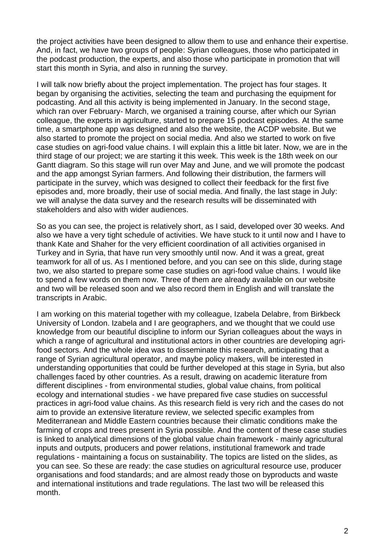the project activities have been designed to allow them to use and enhance their expertise. And, in fact, we have two groups of people: Syrian colleagues, those who participated in the podcast production, the experts, and also those who participate in promotion that will start this month in Syria, and also in running the survey.

I will talk now briefly about the project implementation. The project has four stages. It began by organising the activities, selecting the team and purchasing the equipment for podcasting. And all this activity is being implemented in January. In the second stage, which ran over February- March, we organised a training course, after which our Syrian colleague, the experts in agriculture, started to prepare 15 podcast episodes. At the same time, a smartphone app was designed and also the website, the ACDP website. But we also started to promote the project on social media. And also we started to work on five case studies on agri-food value chains. I will explain this a little bit later. Now, we are in the third stage of our project; we are starting it this week. This week is the 18th week on our Gantt diagram. So this stage will run over May and June, and we will promote the podcast and the app amongst Syrian farmers. And following their distribution, the farmers will participate in the survey, which was designed to collect their feedback for the first five episodes and, more broadly, their use of social media. And finally, the last stage in July: we will analyse the data survey and the research results will be disseminated with stakeholders and also with wider audiences.

So as you can see, the project is relatively short, as I said, developed over 30 weeks. And also we have a very tight schedule of activities. We have stuck to it until now and I have to thank Kate and Shaher for the very efficient coordination of all activities organised in Turkey and in Syria, that have run very smoothly until now. And it was a great, great teamwork for all of us. As I mentioned before, and you can see on this slide, during stage two, we also started to prepare some case studies on agri-food value chains. I would like to spend a few words on them now. Three of them are already available on our website and two will be released soon and we also record them in English and will translate the transcripts in Arabic.

I am working on this material together with my colleague, Izabela Delabre, from Birkbeck University of London. Izabela and I are geographers, and we thought that we could use knowledge from our beautiful discipline to inform our Syrian colleagues about the ways in which a range of agricultural and institutional actors in other countries are developing agrifood sectors. And the whole idea was to disseminate this research, anticipating that a range of Syrian agricultural operator, and maybe policy makers, will be interested in understanding opportunities that could be further developed at this stage in Syria, but also challenges faced by other countries. As a result, drawing on academic literature from different disciplines - from environmental studies, global value chains, from political ecology and international studies - we have prepared five case studies on successful practices in agri-food value chains. As this research field is very rich and the cases do not aim to provide an extensive literature review, we selected specific examples from Mediterranean and Middle Eastern countries because their climatic conditions make the farming of crops and trees present in Syria possible. And the content of these case studies is linked to analytical dimensions of the global value chain framework - mainly agricultural inputs and outputs, producers and power relations, institutional framework and trade regulations - maintaining a focus on sustainability. The topics are listed on the slides, as you can see. So these are ready: the case studies on agricultural resource use, producer organisations and food standards; and are almost ready those on byproducts and waste and international institutions and trade regulations. The last two will be released this month.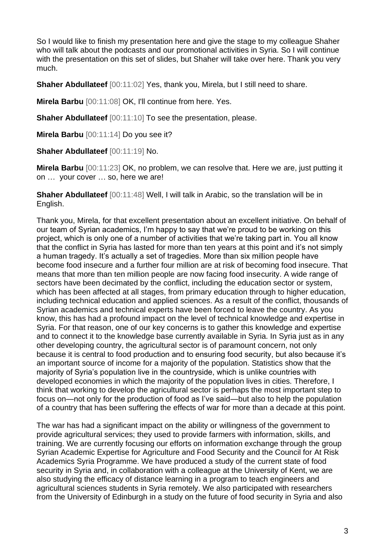So I would like to finish my presentation here and give the stage to my colleague Shaher who will talk about the podcasts and our promotional activities in Syria. So I will continue with the presentation on this set of slides, but Shaher will take over here. Thank you very much.

**Shaher Abdullateef** [00:11:02] Yes, thank you, Mirela, but I still need to share.

**Mirela Barbu** [00:11:08] OK, I'll continue from here. Yes.

**Shaher Abdullateef** [00:11:10] To see the presentation, please.

**Mirela Barbu** [00:11:14] Do you see it?

**Shaher Abdullateef** [00:11:19] No.

**Mirela Barbu** [00:11:23] OK, no problem, we can resolve that. Here we are, just putting it on … your cover … so, here we are!

**Shaher Abdullateef** [00:11:48] Well, I will talk in Arabic, so the translation will be in English.

Thank you, Mirela, for that excellent presentation about an excellent initiative. On behalf of our team of Syrian academics, I'm happy to say that we're proud to be working on this project, which is only one of a number of activities that we're taking part in. You all know that the conflict in Syria has lasted for more than ten years at this point and it's not simply a human tragedy. It's actually a set of tragedies. More than six million people have become food insecure and a further four million are at risk of becoming food insecure. That means that more than ten million people are now facing food insecurity. A wide range of sectors have been decimated by the conflict, including the education sector or system, which has been affected at all stages, from primary education through to higher education, including technical education and applied sciences. As a result of the conflict, thousands of Syrian academics and technical experts have been forced to leave the country. As you know, this has had a profound impact on the level of technical knowledge and expertise in Syria. For that reason, one of our key concerns is to gather this knowledge and expertise and to connect it to the knowledge base currently available in Syria. In Syria just as in any other developing country, the agricultural sector is of paramount concern, not only because it is central to food production and to ensuring food security, but also because it's an important source of income for a majority of the population. Statistics show that the majority of Syria's population live in the countryside, which is unlike countries with developed economies in which the majority of the population lives in cities. Therefore, I think that working to develop the agricultural sector is perhaps the most important step to focus on—not only for the production of food as I've said—but also to help the population of a country that has been suffering the effects of war for more than a decade at this point.

The war has had a significant impact on the ability or willingness of the government to provide agricultural services; they used to provide farmers with information, skills, and training. We are currently focusing our efforts on information exchange through the group Syrian Academic Expertise for Agriculture and Food Security and the Council for At Risk Academics Syria Programme. We have produced a study of the current state of food security in Syria and, in collaboration with a colleague at the University of Kent, we are also studying the efficacy of distance learning in a program to teach engineers and agricultural sciences students in Syria remotely. We also participated with researchers from the University of Edinburgh in a study on the future of food security in Syria and also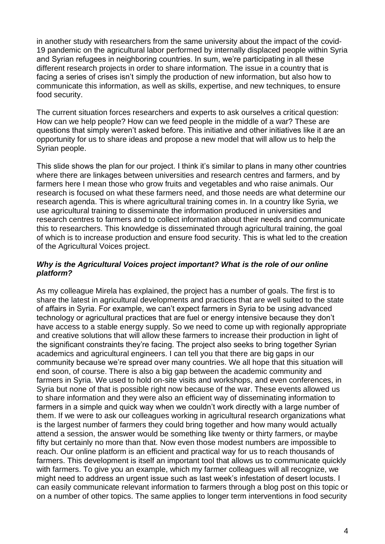in another study with researchers from the same university about the impact of the covid-19 pandemic on the agricultural labor performed by internally displaced people within Syria and Syrian refugees in neighboring countries. In sum, we're participating in all these different research projects in order to share information. The issue in a country that is facing a series of crises isn't simply the production of new information, but also how to communicate this information, as well as skills, expertise, and new techniques, to ensure food security.

The current situation forces researchers and experts to ask ourselves a critical question: How can we help people? How can we feed people in the middle of a war? These are questions that simply weren't asked before. This initiative and other initiatives like it are an opportunity for us to share ideas and propose a new model that will allow us to help the Syrian people.

This slide shows the plan for our project. I think it's similar to plans in many other countries where there are linkages between universities and research centres and farmers, and by farmers here I mean those who grow fruits and vegetables and who raise animals. Our research is focused on what these farmers need, and those needs are what determine our research agenda. This is where agricultural training comes in. In a country like Syria, we use agricultural training to disseminate the information produced in universities and research centres to farmers and to collect information about their needs and communicate this to researchers. This knowledge is disseminated through agricultural training, the goal of which is to increase production and ensure food security. This is what led to the creation of the Agricultural Voices project.

## *Why is the Agricultural Voices project important? What is the role of our online platform?*

As my colleague Mirela has explained, the project has a number of goals. The first is to share the latest in agricultural developments and practices that are well suited to the state of affairs in Syria. For example, we can't expect farmers in Syria to be using advanced technology or agricultural practices that are fuel or energy intensive because they don't have access to a stable energy supply. So we need to come up with regionally appropriate and creative solutions that will allow these farmers to increase their production in light of the significant constraints they're facing. The project also seeks to bring together Syrian academics and agricultural engineers. I can tell you that there are big gaps in our community because we're spread over many countries. We all hope that this situation will end soon, of course. There is also a big gap between the academic community and farmers in Syria. We used to hold on-site visits and workshops, and even conferences, in Syria but none of that is possible right now because of the war. These events allowed us to share information and they were also an efficient way of disseminating information to farmers in a simple and quick way when we couldn't work directly with a large number of them. If we were to ask our colleagues working in agricultural research organizations what is the largest number of farmers they could bring together and how many would actually attend a session, the answer would be something like twenty or thirty farmers, or maybe fifty but certainly no more than that. Now even those modest numbers are impossible to reach. Our online platform is an efficient and practical way for us to reach thousands of farmers. This development is itself an important tool that allows us to communicate quickly with farmers. To give you an example, which my farmer colleagues will all recognize, we might need to address an urgent issue such as last week's infestation of desert locusts. I can easily communicate relevant information to farmers through a blog post on this topic or on a number of other topics. The same applies to longer term interventions in food security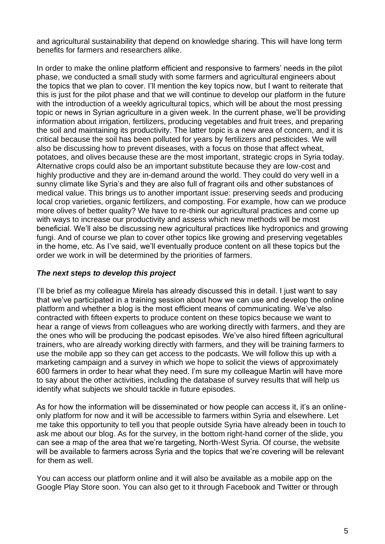and agricultural sustainability that depend on knowledge sharing. This will have long term benefits for farmers and researchers alike.

In order to make the online platform efficient and responsive to farmers' needs in the pilot phase, we conducted a small study with some farmers and agricultural engineers about the topics that we plan to cover. I'll mention the key topics now, but I want to reiterate that this is just for the pilot phase and that we will continue to develop our platform in the future with the introduction of a weekly agricultural topics, which will be about the most pressing topic or news in Syrian agriculture in a given week. In the current phase, we'll be providing information about irrigation, fertilizers, producing vegetables and fruit trees, and preparing the soil and maintaining its productivity. The latter topic is a new area of concern, and it is critical because the soil has been polluted for years by fertilizers and pesticides. We will also be discussing how to prevent diseases, with a focus on those that affect wheat, potatoes, and olives because these are the most important, strategic crops in Syria today. Alternative crops could also be an important substitute because they are low-cost and highly productive and they are in-demand around the world. They could do very well in a sunny climate like Syria's and they are also full of fragrant oils and other substances of medical value. This brings us to another important issue: preserving seeds and producing local crop varieties, organic fertilizers, and composting. For example, how can we produce more olives of better quality? We have to re-think our agricultural practices and come up with ways to increase our productivity and assess which new methods will be most beneficial. We'll also be discussing new agricultural practices like hydroponics and growing fungi. And of course we plan to cover other topics like growing and preserving vegetables in the home, etc. As I've said, we'll eventually produce content on all these topics but the order we work in will be determined by the priorities of farmers.

## *The next steps to develop this project*

I'll be brief as my colleague Mirela has already discussed this in detail. I just want to say that we've participated in a training session about how we can use and develop the online platform and whether a blog is the most efficient means of communicating. We've also contracted with fifteen experts to produce content on these topics because we want to hear a range of views from colleagues who are working directly with farmers, and they are the ones who will be producing the podcast episodes. We've also hired fifteen agricultural trainers, who are already working directly with farmers, and they will be training farmers to use the mobile app so they can get access to the podcasts. We will follow this up with a marketing campaign and a survey in which we hope to solicit the views of approximately 600 farmers in order to hear what they need. I'm sure my colleague Martin will have more to say about the other activities, including the database of survey results that will help us identify what subjects we should tackle in future episodes.

As for how the information will be disseminated or how people can access it, it's an onlineonly platform for now and it will be accessible to farmers within Syria and elsewhere. Let me take this opportunity to tell you that people outside Syria have already been in touch to ask me about our blog. As for the survey, in the bottom right-hand corner of the slide, you can see a map of the area that we're targeting, North-West Syria. Of course, the website will be available to farmers across Syria and the topics that we're covering will be relevant for them as well.

You can access our platform online and it will also be available as a mobile app on the Google Play Store soon. You can also get to it through Facebook and Twitter or through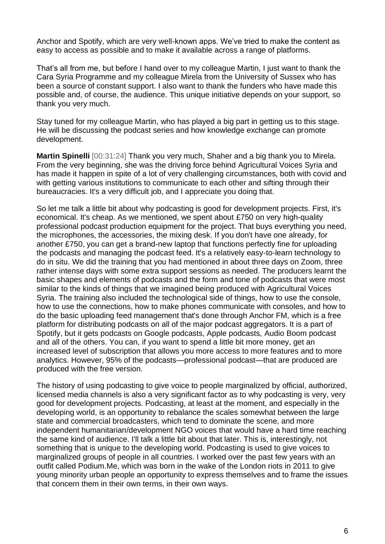Anchor and Spotify, which are very well-known apps. We've tried to make the content as easy to access as possible and to make it available across a range of platforms.

That's all from me, but before I hand over to my colleague Martin, I just want to thank the Cara Syria Programme and my colleague Mirela from the University of Sussex who has been a source of constant support. I also want to thank the funders who have made this possible and, of course, the audience. This unique initiative depends on your support, so thank you very much.

Stay tuned for my colleague Martin, who has played a big part in getting us to this stage. He will be discussing the podcast series and how knowledge exchange can promote development.

**Martin Spinelli** [00:31:24] Thank you very much, Shaher and a big thank you to Mirela. From the very beginning, she was the driving force behind Agricultural Voices Syria and has made it happen in spite of a lot of very challenging circumstances, both with covid and with getting various institutions to communicate to each other and sifting through their bureaucracies. It's a very difficult job, and I appreciate you doing that.

So let me talk a little bit about why podcasting is good for development projects. First, it's economical. It's cheap. As we mentioned, we spent about £750 on very high-quality professional podcast production equipment for the project. That buys everything you need, the microphones, the accessories, the mixing desk. If you don't have one already, for another £750, you can get a brand-new laptop that functions perfectly fine for uploading the podcasts and managing the podcast feed. It's a relatively easy-to-learn technology to do in situ. We did the training that you had mentioned in about three days on Zoom, three rather intense days with some extra support sessions as needed. The producers learnt the basic shapes and elements of podcasts and the form and tone of podcasts that were most similar to the kinds of things that we imagined being produced with Agricultural Voices Syria. The training also included the technological side of things, how to use the console, how to use the connections, how to make phones communicate with consoles, and how to do the basic uploading feed management that's done through Anchor FM, which is a free platform for distributing podcasts on all of the major podcast aggregators. It is a part of Spotify, but it gets podcasts on Google podcasts, Apple podcasts, Audio Boom podcast and all of the others. You can, if you want to spend a little bit more money, get an increased level of subscription that allows you more access to more features and to more analytics. However, 95% of the podcasts—professional podcast—that are produced are produced with the free version.

The history of using podcasting to give voice to people marginalized by official, authorized, licensed media channels is also a very significant factor as to why podcasting is very, very good for development projects. Podcasting, at least at the moment, and especially in the developing world, is an opportunity to rebalance the scales somewhat between the large state and commercial broadcasters, which tend to dominate the scene, and more independent humanitarian/development NGO voices that would have a hard time reaching the same kind of audience. I'll talk a little bit about that later. This is, interestingly, not something that is unique to the developing world. Podcasting is used to give voices to marginalized groups of people in all countries. I worked over the past few years with an outfit called Podium.Me, which was born in the wake of the London riots in 2011 to give young minority urban people an opportunity to express themselves and to frame the issues that concern them in their own terms, in their own ways.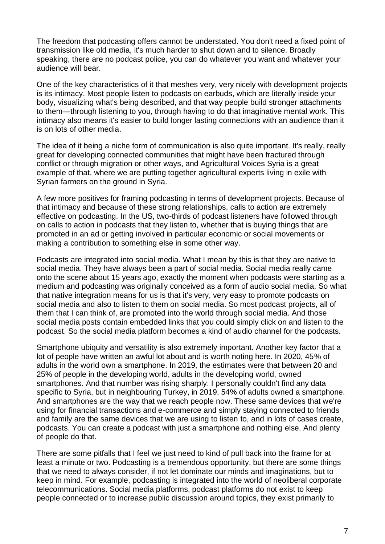The freedom that podcasting offers cannot be understated. You don't need a fixed point of transmission like old media, it's much harder to shut down and to silence. Broadly speaking, there are no podcast police, you can do whatever you want and whatever your audience will bear.

One of the key characteristics of it that meshes very, very nicely with development projects is its intimacy. Most people listen to podcasts on earbuds, which are literally inside your body, visualizing what's being described, and that way people build stronger attachments to them—through listening to you, through having to do that imaginative mental work. This intimacy also means it's easier to build longer lasting connections with an audience than it is on lots of other media.

The idea of it being a niche form of communication is also quite important. It's really, really great for developing connected communities that might have been fractured through conflict or through migration or other ways, and Agricultural Voices Syria is a great example of that, where we are putting together agricultural experts living in exile with Syrian farmers on the ground in Syria.

A few more positives for framing podcasting in terms of development projects. Because of that intimacy and because of these strong relationships, calls to action are extremely effective on podcasting. In the US, two-thirds of podcast listeners have followed through on calls to action in podcasts that they listen to, whether that is buying things that are promoted in an ad or getting involved in particular economic or social movements or making a contribution to something else in some other way.

Podcasts are integrated into social media. What I mean by this is that they are native to social media. They have always been a part of social media. Social media really came onto the scene about 15 years ago, exactly the moment when podcasts were starting as a medium and podcasting was originally conceived as a form of audio social media. So what that native integration means for us is that it's very, very easy to promote podcasts on social media and also to listen to them on social media. So most podcast projects, all of them that I can think of, are promoted into the world through social media. And those social media posts contain embedded links that you could simply click on and listen to the podcast. So the social media platform becomes a kind of audio channel for the podcasts.

Smartphone ubiquity and versatility is also extremely important. Another key factor that a lot of people have written an awful lot about and is worth noting here. In 2020, 45% of adults in the world own a smartphone. In 2019, the estimates were that between 20 and 25% of people in the developing world, adults in the developing world, owned smartphones. And that number was rising sharply. I personally couldn't find any data specific to Syria, but in neighbouring Turkey, in 2019, 54% of adults owned a smartphone. And smartphones are the way that we reach people now. These same devices that we're using for financial transactions and e-commerce and simply staying connected to friends and family are the same devices that we are using to listen to, and in lots of cases create, podcasts. You can create a podcast with just a smartphone and nothing else. And plenty of people do that.

There are some pitfalls that I feel we just need to kind of pull back into the frame for at least a minute or two. Podcasting is a tremendous opportunity, but there are some things that we need to always consider, if not let dominate our minds and imaginations, but to keep in mind. For example, podcasting is integrated into the world of neoliberal corporate telecommunications. Social media platforms, podcast platforms do not exist to keep people connected or to increase public discussion around topics, they exist primarily to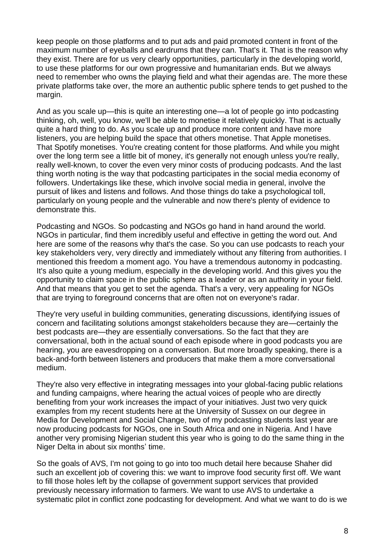keep people on those platforms and to put ads and paid promoted content in front of the maximum number of eyeballs and eardrums that they can. That's it. That is the reason why they exist. There are for us very clearly opportunities, particularly in the developing world, to use these platforms for our own progressive and humanitarian ends. But we always need to remember who owns the playing field and what their agendas are. The more these private platforms take over, the more an authentic public sphere tends to get pushed to the margin.

And as you scale up—this is quite an interesting one—a lot of people go into podcasting thinking, oh, well, you know, we'll be able to monetise it relatively quickly. That is actually quite a hard thing to do. As you scale up and produce more content and have more listeners, you are helping build the space that others monetise. That Apple monetises. That Spotify monetises. You're creating content for those platforms. And while you might over the long term see a little bit of money, it's generally not enough unless you're really, really well-known, to cover the even very minor costs of producing podcasts. And the last thing worth noting is the way that podcasting participates in the social media economy of followers. Undertakings like these, which involve social media in general, involve the pursuit of likes and listens and follows. And those things do take a psychological toll, particularly on young people and the vulnerable and now there's plenty of evidence to demonstrate this.

Podcasting and NGOs. So podcasting and NGOs go hand in hand around the world. NGOs in particular, find them incredibly useful and effective in getting the word out. And here are some of the reasons why that's the case. So you can use podcasts to reach your key stakeholders very, very directly and immediately without any filtering from authorities. I mentioned this freedom a moment ago. You have a tremendous autonomy in podcasting. It's also quite a young medium, especially in the developing world. And this gives you the opportunity to claim space in the public sphere as a leader or as an authority in your field. And that means that you get to set the agenda. That's a very, very appealing for NGOs that are trying to foreground concerns that are often not on everyone's radar.

They're very useful in building communities, generating discussions, identifying issues of concern and facilitating solutions amongst stakeholders because they are—certainly the best podcasts are—they are essentially conversations. So the fact that they are conversational, both in the actual sound of each episode where in good podcasts you are hearing, you are eavesdropping on a conversation. But more broadly speaking, there is a back-and-forth between listeners and producers that make them a more conversational medium.

They're also very effective in integrating messages into your global-facing public relations and funding campaigns, where hearing the actual voices of people who are directly benefiting from your work increases the impact of your initiatives. Just two very quick examples from my recent students here at the University of Sussex on our degree in Media for Development and Social Change, two of my podcasting students last year are now producing podcasts for NGOs, one in South Africa and one in Nigeria. And I have another very promising Nigerian student this year who is going to do the same thing in the Niger Delta in about six months' time.

So the goals of AVS, I'm not going to go into too much detail here because Shaher did such an excellent job of covering this: we want to improve food security first off. We want to fill those holes left by the collapse of government support services that provided previously necessary information to farmers. We want to use AVS to undertake a systematic pilot in conflict zone podcasting for development. And what we want to do is we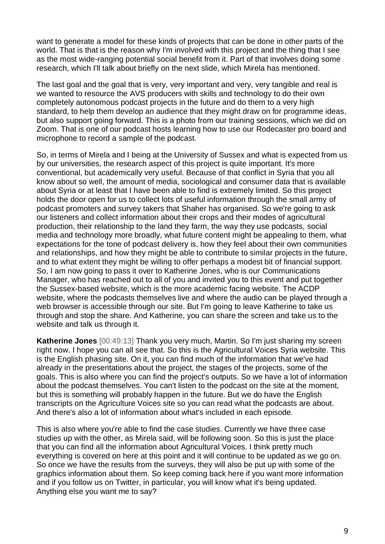want to generate a model for these kinds of projects that can be done in other parts of the world. That is that is the reason why I'm involved with this project and the thing that I see as the most wide-ranging potential social benefit from it. Part of that involves doing some research, which I'll talk about briefly on the next slide, which Mirela has mentioned.

The last goal and the goal that is very, very important and very, very tangible and real is we wanted to resource the AVS producers with skills and technology to do their own completely autonomous podcast projects in the future and do them to a very high standard, to help them develop an audience that they might draw on for programme ideas, but also support going forward. This is a photo from our training sessions, which we did on Zoom. That is one of our podcast hosts learning how to use our Rodecaster pro board and microphone to record a sample of the podcast.

So, in terms of Mirela and I being at the University of Sussex and what is expected from us by our universities, the research aspect of this project is quite important. It's more conventional, but academically very useful. Because of that conflict in Syria that you all know about so well, the amount of media, sociological and consumer data that is available about Syria or at least that I have been able to find is extremely limited. So this project holds the door open for us to collect lots of useful information through the small army of podcast promoters and survey takers that Shaher has organised. So we're going to ask our listeners and collect information about their crops and their modes of agricultural production, their relationship to the land they farm, the way they use podcasts, social media and technology more broadly, what future content might be appealing to them, what expectations for the tone of podcast delivery is, how they feel about their own communities and relationships, and how they might be able to contribute to similar projects in the future, and to what extent they might be willing to offer perhaps a modest bit of financial support. So, I am now going to pass it over to Katherine Jones, who is our Communications Manager, who has reached out to all of you and invited you to this event and put together the Sussex-based website, which is the more academic facing website. The ACDP website, where the podcasts themselves live and where the audio can be played through a web browser is accessible through our site. But I'm going to leave Katherine to take us through and stop the share. And Katherine, you can share the screen and take us to the website and talk us through it.

**Katherine Jones** [00:49:13] Thank you very much, Martin. So I'm just sharing my screen right now. I hope you can all see that. So this is the Agricultural Voices Syria website. This is the English phasing site. On it, you can find much of the information that we've had already in the presentations about the project, the stages of the projects, some of the goals. This is also where you can find the project's outputs. So we have a lot of information about the podcast themselves. You can't listen to the podcast on the site at the moment, but this is something will probably happen in the future. But we do have the English transcripts on the Agriculture Voices site so you can read what the podcasts are about. And there's also a lot of information about what's included in each episode.

This is also where you're able to find the case studies. Currently we have three case studies up with the other, as Mirela said, will be following soon. So this is just the place that you can find all the information about Agricultural Voices. I think pretty much everything is covered on here at this point and it will continue to be updated as we go on. So once we have the results from the surveys, they will also be put up with some of the graphics information about them. So keep coming back here if you want more information and if you follow us on Twitter, in particular, you will know what it's being updated. Anything else you want me to say?